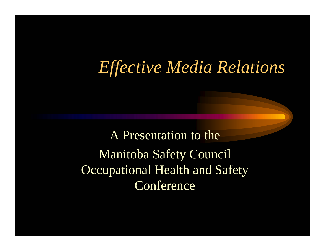## *Effective Media Relations*

A Presentation to the Manitoba Safety Council Occupational Health and Safety **Conference**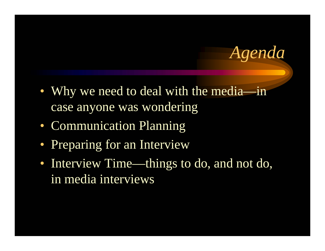*Agenda*

- Why we need to deal with the media—in case anyone was wondering
- Communication Planning
- Preparing for an Interview
- Interview Time—things to do, and not do, in media interviews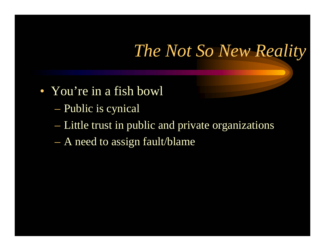## *The Not So New Reality*

- You're in a fish bowl
	- Public is cynical
	- Little trust in public and private organizations
	- A need to assign fault/blame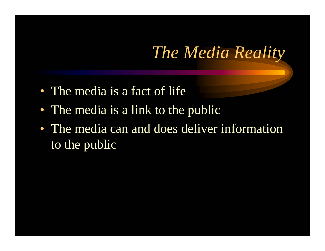## *The Media Reality*

- The media is a fact of life
- The media is a link to the public
- The media can and does deliver information to the public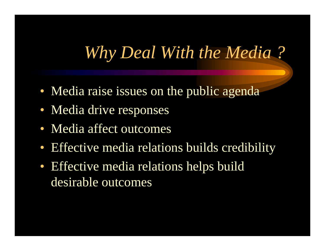## *Why Deal With the Media ?*

- Media raise issues on the public agenda
- Media drive responses
- Media affect outcomes
- Effective media relations builds credibility
- Effective media relations helps build desirable outcomes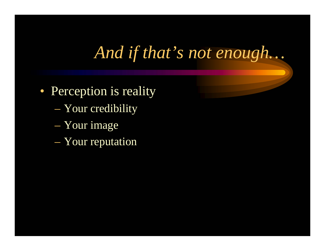## *And if that's not enough…*

- Perception is reality
	- Your credibility
	- Your image
	- Your reputation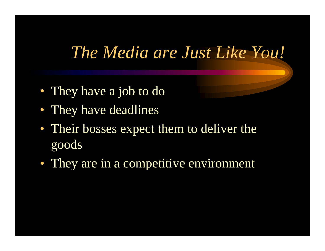### *The Media are Just Like You!*

- They have a job to do
- They have deadlines
- Their bosses expect them to deliver the goods
- They are in a competitive environment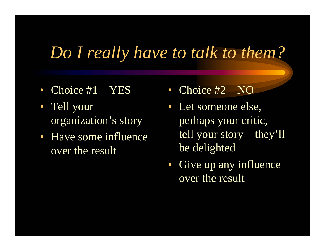## *Do I really have to talk to them?*

- Choice #1—YES
- Tell your organization's story
- Have some influence over the result
- Choice #2—NO
- Let someone else, perhaps your critic, tell your story—they'll be delighted
- Give up any influence over the result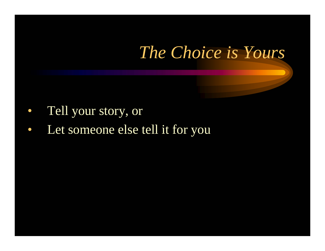## *The Choice is Yours*

- $\bullet$ Tell your story, or
- $\bullet$ Let someone else tell it for you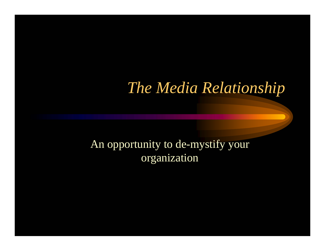#### *The Media Relationship*

#### An opportunity to de-mystify your organization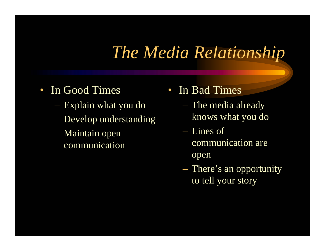## *The Media Relationship*

- In Good Times
	- Explain what you do
	- Develop understanding
	- Maintain open communication
- In Bad Times
	- The media already knows what you do
	- Lines of communication are open
	- There's an opportunity to tell your story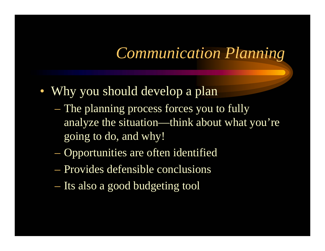#### *Communication Planning*

- Why you should develop a plan
	- The planning process forces you to fully analyze the situation—think about what you're going to do, and why!
	- Opportunities are often identified
	- Provides defensible conclusions
	- Its also a good budgeting tool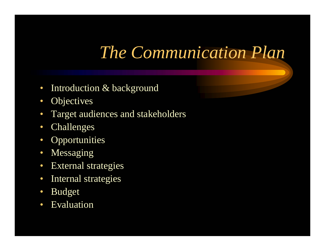## *The Communication Plan*

- $\bullet$ Introduction & background
- $\bullet$ **Objectives**
- $\bullet$ Target audiences and stakeholders
- $\bullet$ Challenges
- $\bullet$ **Opportunities**
- $\bullet$ Messaging
- $\bullet$ External strategies
- $\bullet$ Internal strategies
- $\bullet$ Budget
- $\bullet$ Evaluation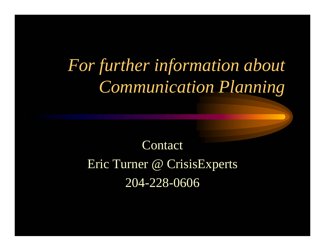# *For further information about Communication Planning*

## **Contact**

#### Eric Turner @ CrisisExperts 204-228-0606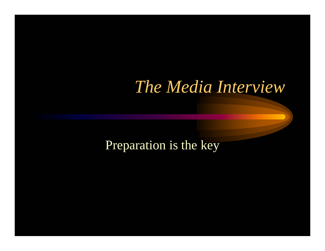### *The Media Interview*

#### Preparation is the key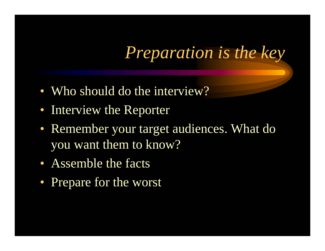*Preparation is the key*

- Who should do the interview?
- Interview the Reporter
- Remember your target audiences. What do you want them to know?
- Assemble the facts
- Prepare for the worst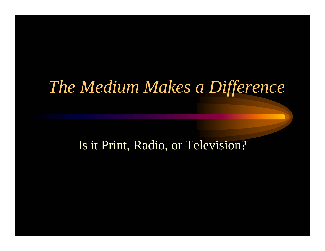### *The Medium Makes a Difference*

#### Is it Print, Radio, or Television?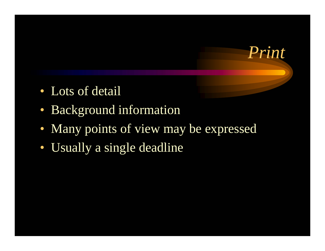- Lots of detail
- Background information
- Many points of view may be expressed

*Print*

• Usually a single deadline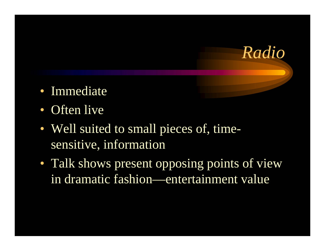

- Immediate
- Often live
- Well suited to small pieces of, timesensitive, information
- Talk shows present opposing points of view in dramatic fashion—entertainment value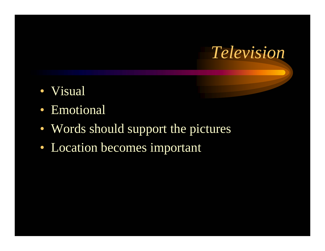

- Visual
- Emotional
- Words should support the pictures
- Location becomes important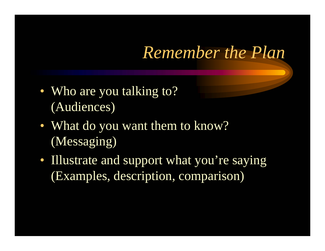## *Remember the Plan*

- Who are you talking to? (Audiences)
- What do you want them to know? (Messaging)
- Illustrate and support what you're saying (Examples, description, comparison)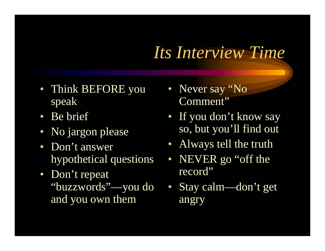## *Its Interview Time*

- Think BEFORE you speak
- Be brief
- No jargon please
- Don't answer hypothetical questions
- Don't repeat "buzzwords"—you do and you own them
- Never say "No Comment"
- If you don't know say so, but you'll find out
- Always tell the truth
- NEVER go "off the record"
- Stay calm—don't get angry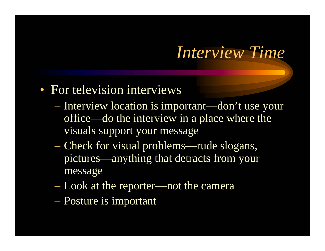### *Interview Time*

#### • For television interviews

- Interview location is important—don't use your office—do the interview in a place where the visuals support your message
- Check for visual problems—rude slogans, pictures—anything that detracts from your message
- Look at the reporter—not the camera
- Posture is important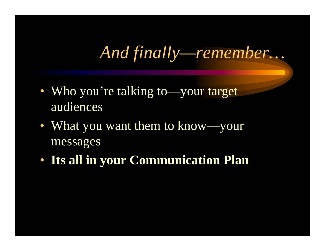*And finally—remember…*

- Who you're talking to—your target audiences
- What you want them to know—your messages
- **Its all in your Communication Plan**